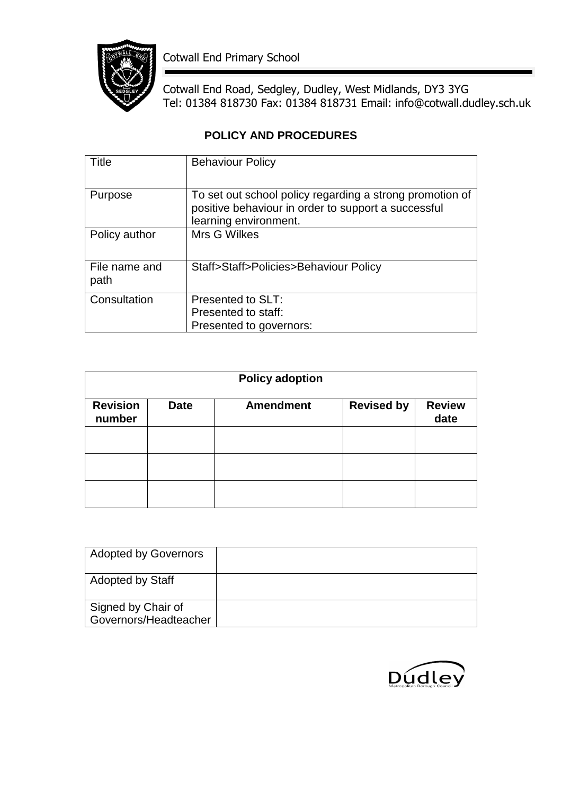

Cotwall End Primary School

Cotwall End Road, Sedgley, Dudley, West Midlands, DY3 3YG Tel: 01384 818730 Fax: 01384 818731 Email: info@cotwall.dudley.sch.uk

# **POLICY AND PROCEDURES**

| Title                 | <b>Behaviour Policy</b>                                                                                                                  |
|-----------------------|------------------------------------------------------------------------------------------------------------------------------------------|
| Purpose               | To set out school policy regarding a strong promotion of<br>positive behaviour in order to support a successful<br>learning environment. |
| Policy author         | Mrs G Wilkes                                                                                                                             |
| File name and<br>path | Staff>Staff>Policies>Behaviour Policy                                                                                                    |
| Consultation          | Presented to SLT:                                                                                                                        |
|                       | Presented to staff:                                                                                                                      |
|                       | Presented to governors:                                                                                                                  |

| <b>Policy adoption</b>    |             |                  |                   |                       |
|---------------------------|-------------|------------------|-------------------|-----------------------|
| <b>Revision</b><br>number | <b>Date</b> | <b>Amendment</b> | <b>Revised by</b> | <b>Review</b><br>date |
|                           |             |                  |                   |                       |
|                           |             |                  |                   |                       |
|                           |             |                  |                   |                       |

| <b>Adopted by Governors</b>                 |  |
|---------------------------------------------|--|
| <b>Adopted by Staff</b>                     |  |
| Signed by Chair of<br>Governors/Headteacher |  |

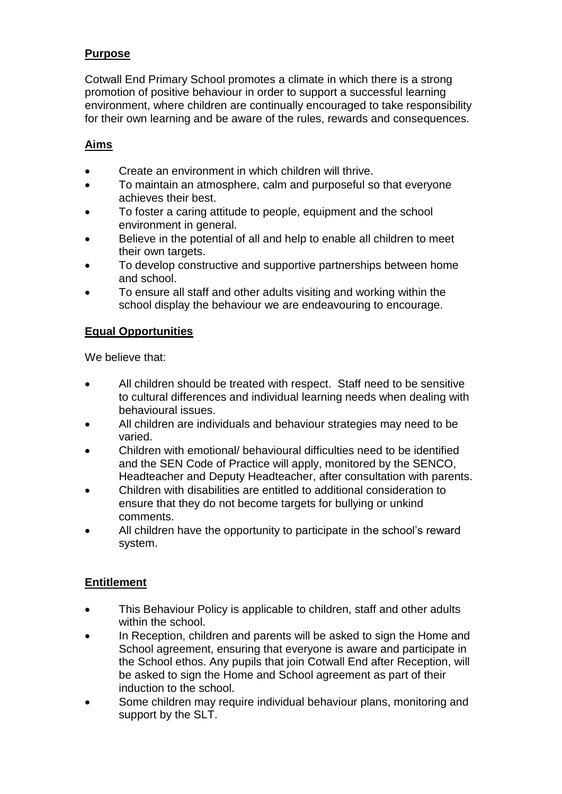## **Purpose**

Cotwall End Primary School promotes a climate in which there is a strong promotion of positive behaviour in order to support a successful learning environment, where children are continually encouraged to take responsibility for their own learning and be aware of the rules, rewards and consequences.

### **Aims**

- Create an environment in which children will thrive.
- To maintain an atmosphere, calm and purposeful so that everyone achieves their best.
- To foster a caring attitude to people, equipment and the school environment in general.
- Believe in the potential of all and help to enable all children to meet their own targets.
- To develop constructive and supportive partnerships between home and school.
- To ensure all staff and other adults visiting and working within the school display the behaviour we are endeavouring to encourage.

### **Equal Opportunities**

We believe that:

- All children should be treated with respect. Staff need to be sensitive to cultural differences and individual learning needs when dealing with behavioural issues.
- All children are individuals and behaviour strategies may need to be varied.
- Children with emotional/ behavioural difficulties need to be identified and the SEN Code of Practice will apply, monitored by the SENCO, Headteacher and Deputy Headteacher, after consultation with parents.
- Children with disabilities are entitled to additional consideration to ensure that they do not become targets for bullying or unkind comments.
- All children have the opportunity to participate in the school's reward system.

### **Entitlement**

- This Behaviour Policy is applicable to children, staff and other adults within the school.
- In Reception, children and parents will be asked to sign the Home and School agreement, ensuring that everyone is aware and participate in the School ethos. Any pupils that join Cotwall End after Reception, will be asked to sign the Home and School agreement as part of their induction to the school.
- Some children may require individual behaviour plans, monitoring and support by the SLT.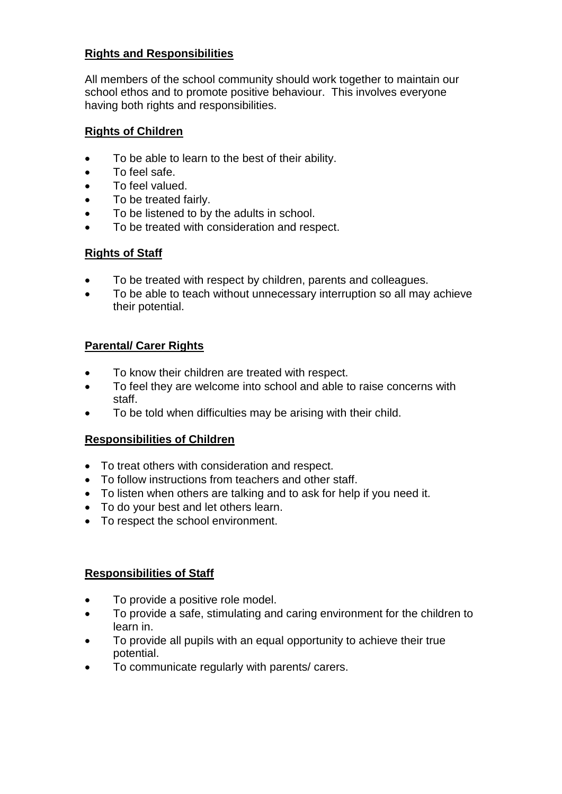### **Rights and Responsibilities**

All members of the school community should work together to maintain our school ethos and to promote positive behaviour. This involves everyone having both rights and responsibilities.

#### **Rights of Children**

- To be able to learn to the best of their ability.
- To feel safe.
- To feel valued.
- To be treated fairly.
- To be listened to by the adults in school.
- To be treated with consideration and respect.

#### **Rights of Staff**

- To be treated with respect by children, parents and colleagues.
- To be able to teach without unnecessary interruption so all may achieve their potential.

#### **Parental/ Carer Rights**

- To know their children are treated with respect.
- To feel they are welcome into school and able to raise concerns with staff.
- To be told when difficulties may be arising with their child.

#### **Responsibilities of Children**

- To treat others with consideration and respect.
- To follow instructions from teachers and other staff.
- To listen when others are talking and to ask for help if you need it.
- To do your best and let others learn.
- To respect the school environment.

### **Responsibilities of Staff**

- To provide a positive role model.
- To provide a safe, stimulating and caring environment for the children to learn in.
- To provide all pupils with an equal opportunity to achieve their true potential.
- To communicate regularly with parents/ carers.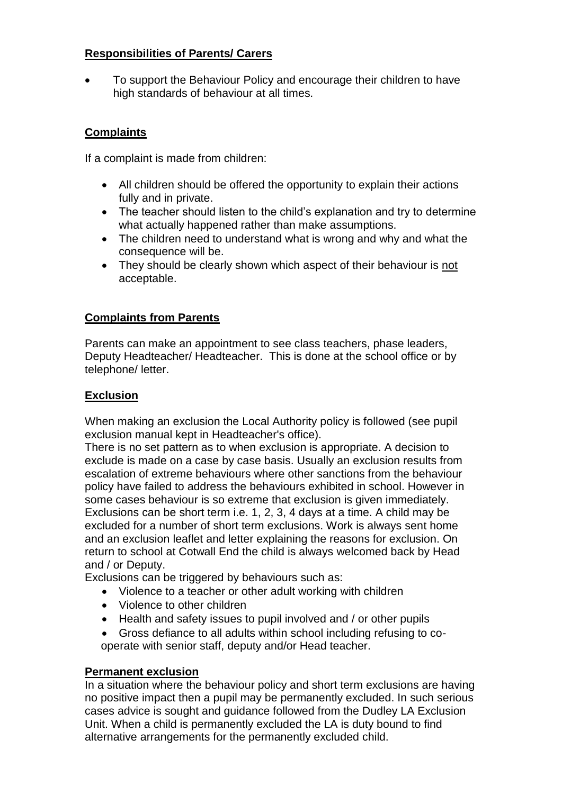### **Responsibilities of Parents/ Carers**

 To support the Behaviour Policy and encourage their children to have high standards of behaviour at all times.

### **Complaints**

If a complaint is made from children:

- All children should be offered the opportunity to explain their actions fully and in private.
- The teacher should listen to the child's explanation and try to determine what actually happened rather than make assumptions.
- The children need to understand what is wrong and why and what the consequence will be.
- They should be clearly shown which aspect of their behaviour is not acceptable.

### **Complaints from Parents**

Parents can make an appointment to see class teachers, phase leaders, Deputy Headteacher/ Headteacher. This is done at the school office or by telephone/ letter.

### **Exclusion**

When making an exclusion the Local Authority policy is followed (see pupil exclusion manual kept in Headteacher's office).

There is no set pattern as to when exclusion is appropriate. A decision to exclude is made on a case by case basis. Usually an exclusion results from escalation of extreme behaviours where other sanctions from the behaviour policy have failed to address the behaviours exhibited in school. However in some cases behaviour is so extreme that exclusion is given immediately. Exclusions can be short term i.e. 1, 2, 3, 4 days at a time. A child may be excluded for a number of short term exclusions. Work is always sent home and an exclusion leaflet and letter explaining the reasons for exclusion. On return to school at Cotwall End the child is always welcomed back by Head and / or Deputy.

Exclusions can be triggered by behaviours such as:

- Violence to a teacher or other adult working with children
- Violence to other children
- Health and safety issues to pupil involved and / or other pupils
- Gross defiance to all adults within school including refusing to cooperate with senior staff, deputy and/or Head teacher.

#### **Permanent exclusion**

In a situation where the behaviour policy and short term exclusions are having no positive impact then a pupil may be permanently excluded. In such serious cases advice is sought and guidance followed from the Dudley LA Exclusion Unit. When a child is permanently excluded the LA is duty bound to find alternative arrangements for the permanently excluded child.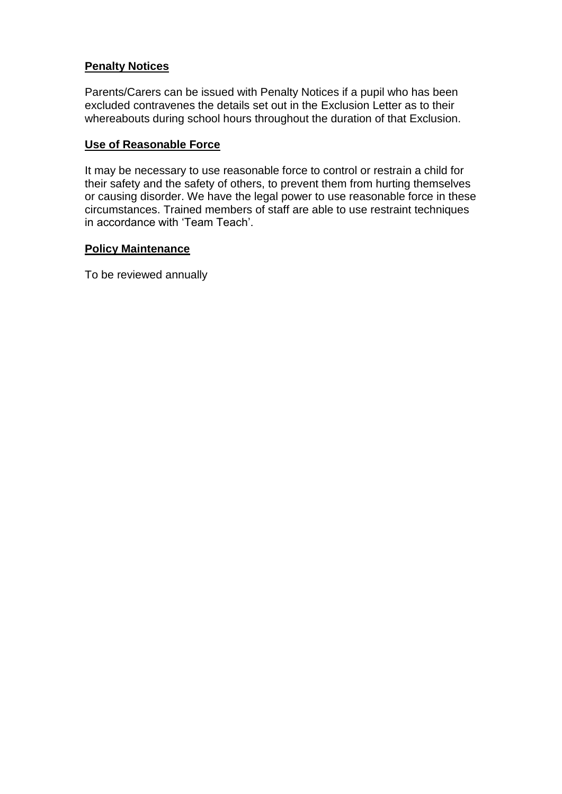### **Penalty Notices**

Parents/Carers can be issued with Penalty Notices if a pupil who has been excluded contravenes the details set out in the Exclusion Letter as to their whereabouts during school hours throughout the duration of that Exclusion.

#### **Use of Reasonable Force**

It may be necessary to use reasonable force to control or restrain a child for their safety and the safety of others, to prevent them from hurting themselves or causing disorder. We have the legal power to use reasonable force in these circumstances. Trained members of staff are able to use restraint techniques in accordance with 'Team Teach'.

#### **Policy Maintenance**

To be reviewed annually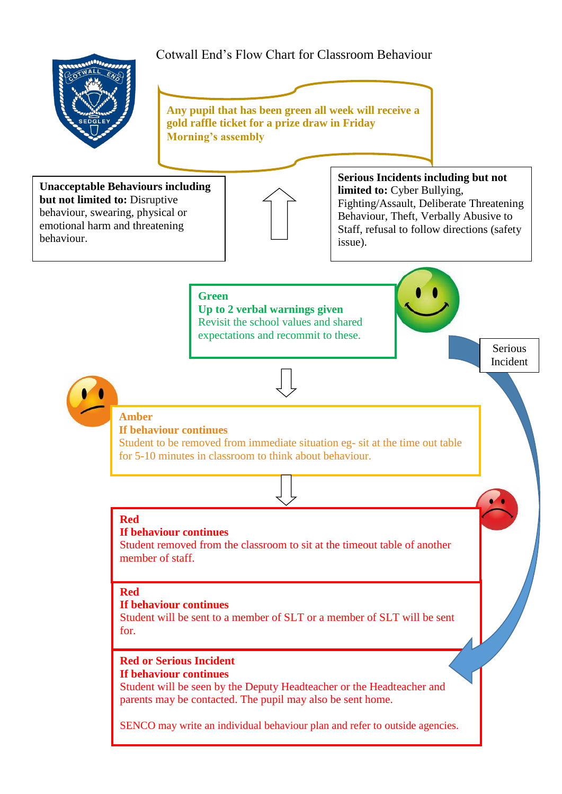# Cotwall End's Flow Chart for Classroom Behaviour  $\overline{\mathbf{v}}$ **Any pupil that has been green all week will receive a gold raffle ticket for a prize draw in Friday Morning's assembly Green Up to 2 verbal warnings given** Revisit the school values and shared expectations and recommit to these. **[A](http://www.google.co.uk/url?q=http://www.schoolstickers.com/en-gb/10mm-mini-traffic-light-stickers&sa=U&ved=0ahUKEwi5ocu1wuzRAhXFKMAKHesRC44QwW4IHDAD&usg=AFQjCNE2K6rXR-2Jt7Bt4e97X8ke1Q4JGg)mber If behaviour continues** Student to be removed from immediate situation eg- sit at the time out table for 5-10 minutes in classroom to think about behaviour. **Unacceptable Behaviours including but not limited to:** Disruptive behaviour, swearing, physical or emotional harm and threatening behaviour. **Serious Incidents including but not limited to:** Cyber Bullying, Fighting/Assault, Deliberate Threatening Behaviour, Theft, Verbally Abusive to Staff, refusal to follow directions (safety issue). **Red** Serious Incident

#### **If behaviour continues**

Student removed from the classroom to sit at the timeout table of another member of staff.

#### **Red**

#### **If behaviour continues**

Student will be sent to a member of SLT or a member of SLT will be sent for.

#### **Red or Serious Incident If behaviour continues**

Student will be seen by the Deputy Headteacher or the Headteacher and parents may be contacted. The pupil may also be sent home.

SENCO may write an individual behaviour plan and refer to outside agencies.